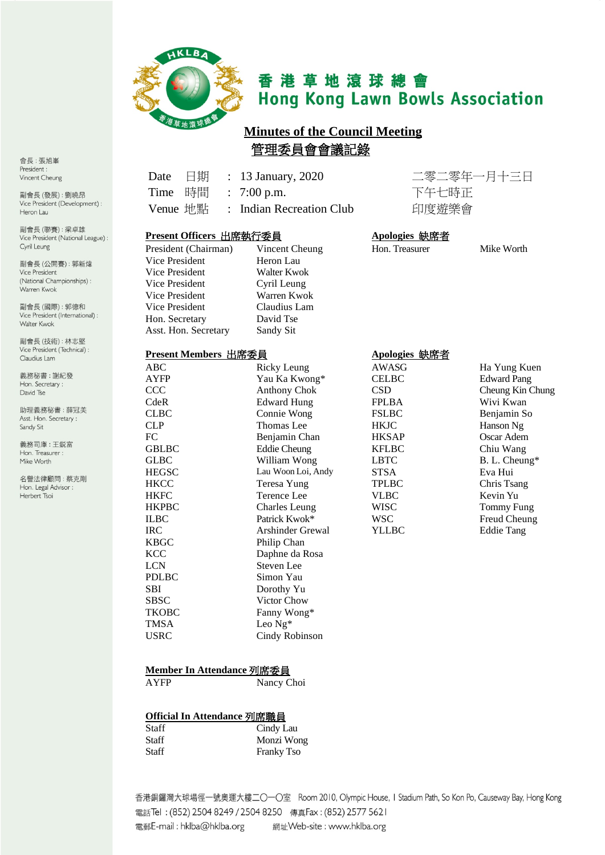

# 香港草地滾球總會 **Hong Kong Lawn Bowls Association**

# **Minutes of the Council Meeting** 管理委員會會議記錄

會長:張旭峯 President: Vincent Cheung

副會長(發展):劉曉昂 Vice President (Development) : Heron Lau

副會長(聯賽):梁卓雄 Vice President (National League) : Cyril Leung

副會長(公開賽): 郭新煒 Vice President (National Championships): Warren Kwok

副會長(國際): 郭德和 Vice President (International) : Walter Kwok

副會長(技術):林志堅 Vice President (Technical) : Claudius Lam

義務秘書:謝紀發 Hon. Secretary: David Tse

助理義務秘書:薛冠美 Asst. Hon. Secretary : Sandy Sit

義務司庫:王鋭富 Hon. Treasurer : Mike Worth

名譽法律顧問:蔡克剛 Hon. Legal Advisor : Herbert Tsoi

## Date 日期 : 13 January, 2020 二零二零年一月十三日 Time 時間 : 7:00 p.m. 下午七時正 Venue 地點 : Indian Recreation Club 印度遊樂會

#### **Present Officers** 出席執行委員 **Apologies** 缺席者

| President (Chairman) | Vincent Che  |
|----------------------|--------------|
| Vice President       | Heron Lau    |
| Vice President       | Walter Kwok  |
| Vice President       | Cyril Leung  |
| Vice President       | Warren Kwo   |
| Vice President       | Claudius Lar |
| Hon. Secretary       | David Tse    |
| Asst. Hon. Secretary | Sandy Sit    |
|                      |              |

# Kwok s Lam

#### **Present Members** 出席委員 **Apologies** 缺席者

| ABC          | Ricky Leung             | AWASG        | Ha Yung Kuen       |
|--------------|-------------------------|--------------|--------------------|
| <b>AYFP</b>  | Yau Ka Kwong*           | <b>CELBC</b> | <b>Edward Pang</b> |
| CCC          | <b>Anthony Chok</b>     | <b>CSD</b>   | Cheung Kin Chung   |
| CdeR         | <b>Edward Hung</b>      | FPLBA        | Wivi Kwan          |
| <b>CLBC</b>  | Connie Wong             | <b>FSLBC</b> | Benjamin So        |
| <b>CLP</b>   | Thomas Lee              | <b>HKJC</b>  | Hanson Ng          |
| FC           | Benjamin Chan           | <b>HKSAP</b> | Oscar Adem         |
| <b>GBLBC</b> | <b>Eddie Cheung</b>     | <b>KFLBC</b> | Chiu Wang          |
| <b>GLBC</b>  | William Wong            | <b>LBTC</b>  | B. L. Cheung*      |
| <b>HEGSC</b> | Lau Woon Loi, Andy      | <b>STSA</b>  | Eva Hui            |
| <b>HKCC</b>  | Teresa Yung             | <b>TPLBC</b> | Chris Tsang        |
| <b>HKFC</b>  | Terence Lee             | <b>VLBC</b>  | Kevin Yu           |
| <b>HKPBC</b> | Charles Leung           | <b>WISC</b>  | Tommy Fung         |
| <b>ILBC</b>  | Patrick Kwok*           | <b>WSC</b>   | Freud Cheung       |
| <b>IRC</b>   | <b>Arshinder Grewal</b> | YLLBC        | <b>Eddie Tang</b>  |
| <b>KBGC</b>  | Philip Chan             |              |                    |
| <b>KCC</b>   | Daphne da Rosa          |              |                    |
| <b>LCN</b>   | Steven Lee              |              |                    |
| <b>PDLBC</b> | Simon Yau               |              |                    |
| <b>SBI</b>   | Dorothy Yu              |              |                    |
| <b>SBSC</b>  | Victor Chow             |              |                    |
| <b>TKOBC</b> | Fanny Wong*             |              |                    |
| <b>TMSA</b>  | Leo $Ng^*$              |              |                    |
| <b>USRC</b>  | Cindy Robinson          |              |                    |
|              |                         |              |                    |

President Cheung Hon. Treasurer Mike Worth

B. L. Cheung\*

#### **Member In Attendance** 列席委員

AYFP Nancy Choi

#### **Official In Attendance** 列席職員

| Staff | Cindy Lau         |
|-------|-------------------|
| Staff | Monzi Wong        |
| Staff | <b>Franky Tso</b> |

香港銅鑼灣大球場徑一號奧運大樓二〇一〇室 Room 2010, Olympic House, I Stadium Path, So Kon Po, Causeway Bay, Hong Kong 電話Tel: (852) 2504 8249 / 2504 8250 傳真Fax: (852) 2577 5621 電郵E-mail: hklba@hklba.org 網址Web-site: www.hklba.org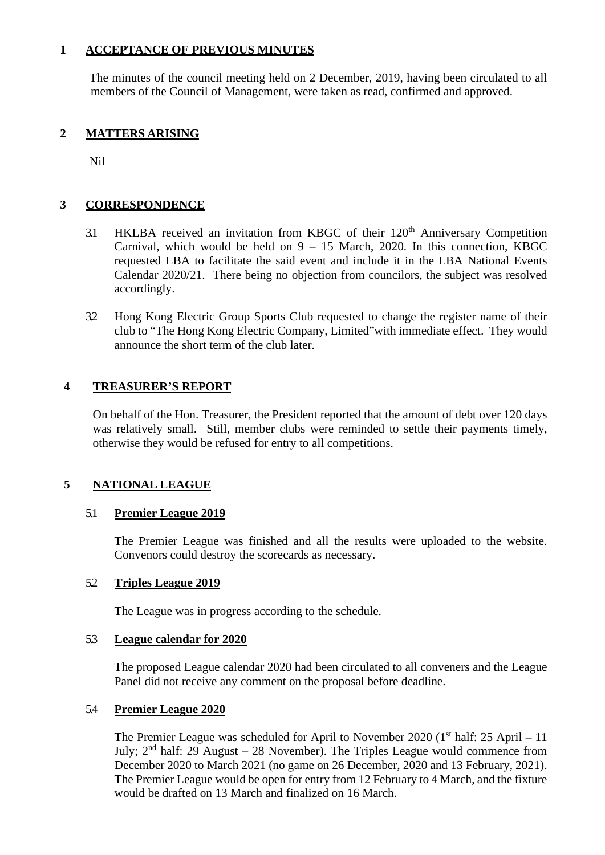## **1 ACCEPTANCE OF PREVIOUS MINUTES**

The minutes of the council meeting held on 2 December, 2019, having been circulated to all members of the Council of Management, were taken as read, confirmed and approved.

## **2 MATTERS ARISING**

Nil

#### **3 CORRESPONDENCE**

- 3.1 HKLBA received an invitation from KBGC of their 120<sup>th</sup> Anniversary Competition Carnival, which would be held on  $9 - 15$  March, 2020. In this connection, KBGC requested LBA to facilitate the said event and include it in the LBA National Events Calendar 2020/21. There being no objection from councilors, the subject was resolved accordingly.
- 3.2 Hong Kong Electric Group Sports Club requested to change the register name of their club to "The Hong Kong Electric Company, Limited"with immediate effect. They would announce the short term of the club later.

#### **4 TREASURER'S REPORT**

On behalf of the Hon. Treasurer, the President reported that the amount of debt over 120 days was relatively small. Still, member clubs were reminded to settle their payments timely, otherwise they would be refused for entry to all competitions.

## **5 NATIONAL LEAGUE**

#### 5.1 **Premier League 2019**

The Premier League was finished and all the results were uploaded to the website. Convenors could destroy the scorecards as necessary.

#### 5.2 **Triples League 2019**

The League was in progress according to the schedule.

#### 5.3 **League calendar for 2020**

The proposed League calendar 2020 had been circulated to all conveners and the League Panel did not receive any comment on the proposal before deadline.

#### 5.4 **Premier League 2020**

The Premier League was scheduled for April to November 2020 ( $1<sup>st</sup>$  half: 25 April – 11 July;  $2<sup>nd</sup>$  half: 29 August – 28 November). The Triples League would commence from December 2020 to March 2021 (no game on 26 December, 2020 and 13 February, 2021). The Premier League would be open for entry from 12 February to 4 March, and the fixture would be drafted on 13 March and finalized on 16 March.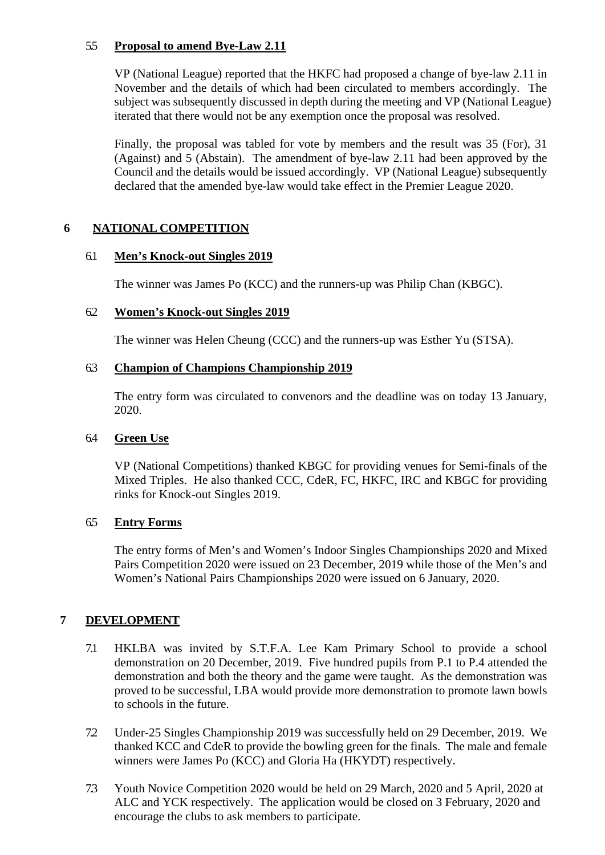## 5.5 **Proposal to amend Bye-Law 2.11**

VP (National League) reported that the HKFC had proposed a change of bye-law 2.11 in November and the details of which had been circulated to members accordingly. The subject was subsequently discussed in depth during the meeting and VP (National League) iterated that there would not be any exemption once the proposal was resolved.

Finally, the proposal was tabled for vote by members and the result was 35 (For), 31 (Against) and 5 (Abstain). The amendment of bye-law 2.11 had been approved by the Council and the details would be issued accordingly. VP (National League) subsequently declared that the amended bye-law would take effect in the Premier League 2020.

## **6 NATIONAL COMPETITION**

#### 6.1 **Men's Knock-out Singles 2019**

The winner was James Po (KCC) and the runners-up was Philip Chan (KBGC).

#### 6.2 **Women's Knock-out Singles 2019**

The winner was Helen Cheung (CCC) and the runners-up was Esther Yu (STSA).

#### 6.3 **Champion of Champions Championship 2019**

The entry form was circulated to convenors and the deadline was on today 13 January, 2020.

#### 6.4 **Green Use**

VP (National Competitions) thanked KBGC for providing venues for Semi-finals of the Mixed Triples. He also thanked CCC, CdeR, FC, HKFC, IRC and KBGC for providing rinks for Knock-out Singles 2019.

#### 6.5 **Entry Forms**

The entry forms of Men's and Women's Indoor Singles Championships 2020 and Mixed Pairs Competition 2020 were issued on 23 December, 2019 while those of the Men's and Women's National Pairs Championships 2020 were issued on 6 January, 2020.

#### **7 DEVELOPMENT**

- 7.1 HKLBA was invited by S.T.F.A. Lee Kam Primary School to provide a school demonstration on 20 December, 2019. Five hundred pupils from P.1 to P.4 attended the demonstration and both the theory and the game were taught. As the demonstration was proved to be successful, LBA would provide more demonstration to promote lawn bowls to schools in the future.
- 7.2 Under-25 Singles Championship 2019 was successfully held on 29 December, 2019. We thanked KCC and CdeR to provide the bowling green for the finals. The male and female winners were James Po (KCC) and Gloria Ha (HKYDT) respectively.
- 7.3 Youth Novice Competition 2020 would be held on 29 March, 2020 and 5 April, 2020 at ALC and YCK respectively. The application would be closed on 3 February, 2020 and encourage the clubs to ask members to participate.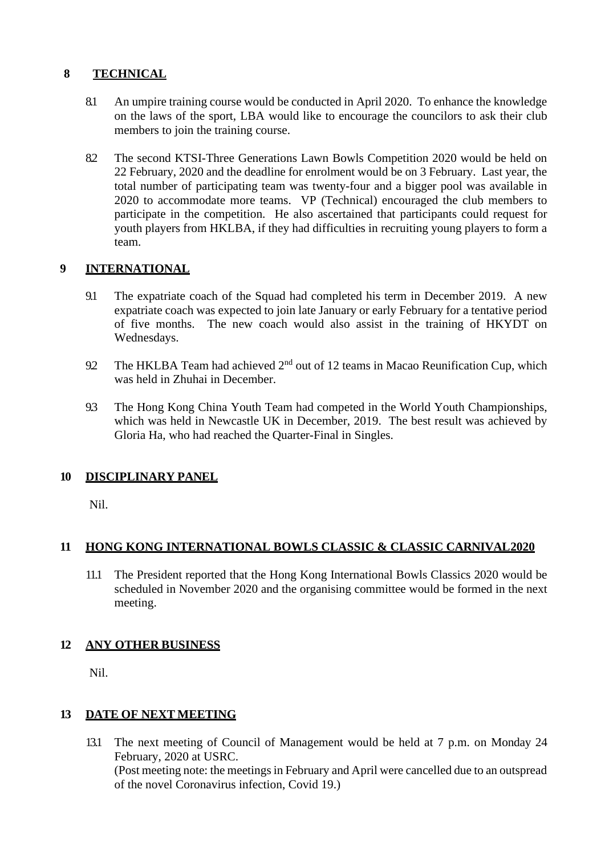# **8 TECHNICAL**

- 8.1 An umpire training course would be conducted in April 2020. To enhance the knowledge on the laws of the sport, LBA would like to encourage the councilors to ask their club members to join the training course.
- 8.2 The second KTSI-Three Generations Lawn Bowls Competition 2020 would be held on 22 February, 2020 and the deadline for enrolment would be on 3 February. Last year, the total number of participating team was twenty-four and a bigger pool was available in 2020 to accommodate more teams. VP (Technical) encouraged the club members to participate in the competition. He also ascertained that participants could request for youth players from HKLBA, if they had difficulties in recruiting young players to form a team.

# **9 INTERNATIONAL**

- 9.1 The expatriate coach of the Squad had completed his term in December 2019. A new expatriate coach was expected to join late January or early February for a tentative period of five months. The new coach would also assist in the training of HKYDT on Wednesdays.
- 9.2 The HKLBA Team had achieved 2<sup>nd</sup> out of 12 teams in Macao Reunification Cup, which was held in Zhuhai in December.
- 9.3 The Hong Kong China Youth Team had competed in the World Youth Championships, which was held in Newcastle UK in December, 2019. The best result was achieved by Gloria Ha, who had reached the Quarter-Final in Singles.

# **10 DISCIPLINARY PANEL**

Nil.

# **11 HONG KONG INTERNATIONAL BOWLS CLASSIC & CLASSIC CARNIVAL2020**

11.1 The President reported that the Hong Kong International Bowls Classics 2020 would be scheduled in November 2020 and the organising committee would be formed in the next meeting.

# **12 ANY OTHER BUSINESS**

Nil.

# **13 DATE OF NEXT MEETING**

13.1 The next meeting of Council of Management would be held at 7 p.m. on Monday 24 February, 2020 at USRC. (Post meeting note: the meetings in February and April were cancelled due to an outspread of the novel Coronavirus infection, Covid 19.)